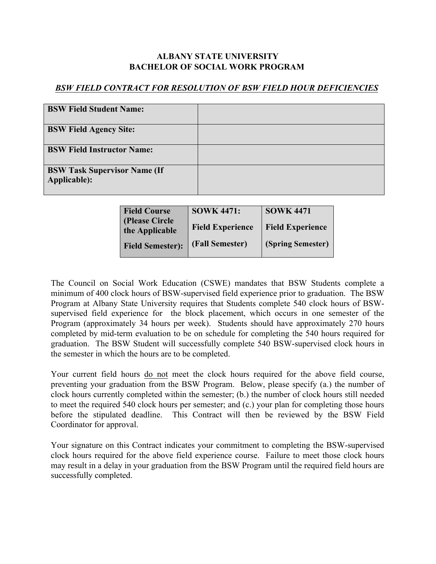## **ALBANY STATE UNIVERSITY BACHELOR OF SOCIAL WORK PROGRAM**

## *BSW FIELD CONTRACT FOR RESOLUTION OF BSW FIELD HOUR DEFICIENCIES*

| <b>BSW Field Student Name:</b>                      |  |
|-----------------------------------------------------|--|
| <b>BSW Field Agency Site:</b>                       |  |
| <b>BSW Field Instructor Name:</b>                   |  |
| <b>BSW Task Supervisor Name (If</b><br>Applicable): |  |

| <b>Field Course</b>               | <b>SOWK 4471:</b>       | <b>SOWK 4471</b>        |
|-----------------------------------|-------------------------|-------------------------|
| (Please Circle)<br>the Applicable | <b>Field Experience</b> | <b>Field Experience</b> |
| <b>Field Semester):</b>           | (Fall Semester)         | (Spring Semester)       |

The Council on Social Work Education (CSWE) mandates that BSW Students complete a minimum of 400 clock hours of BSW-supervised field experience prior to graduation. The BSW Program at Albany State University requires that Students complete 540 clock hours of BSWsupervised field experience for the block placement, which occurs in one semester of the Program (approximately 34 hours per week). Students should have approximately 270 hours completed by mid-term evaluation to be on schedule for completing the 540 hours required for graduation. The BSW Student will successfully complete 540 BSW-supervised clock hours in the semester in which the hours are to be completed.

Your current field hours do not meet the clock hours required for the above field course, preventing your graduation from the BSW Program. Below, please specify (a.) the number of clock hours currently completed within the semester; (b.) the number of clock hours still needed to meet the required 540 clock hours per semester; and (c.) your plan for completing those hours before the stipulated deadline. This Contract will then be reviewed by the BSW Field Coordinator for approval.

Your signature on this Contract indicates your commitment to completing the BSW-supervised clock hours required for the above field experience course. Failure to meet those clock hours may result in a delay in your graduation from the BSW Program until the required field hours are successfully completed.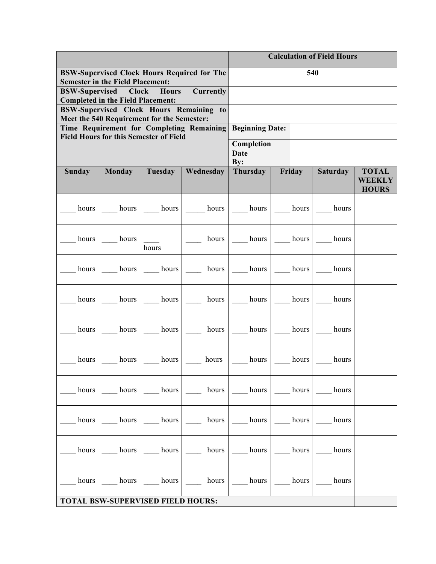|                                                                                                                                          |               |         |                                  | <b>Calculation of Field Hours</b> |       |        |                 |                                               |
|------------------------------------------------------------------------------------------------------------------------------------------|---------------|---------|----------------------------------|-----------------------------------|-------|--------|-----------------|-----------------------------------------------|
| <b>BSW-Supervised Clock Hours Required for The</b><br><b>Semester in the Field Placement:</b>                                            |               | 540     |                                  |                                   |       |        |                 |                                               |
| <b>BSW-Supervised</b><br><b>Clock</b><br><b>Hours</b><br>Currently<br><b>Completed in the Field Placement:</b>                           |               |         |                                  |                                   |       |        |                 |                                               |
| BSW-Supervised Clock Hours Remaining to                                                                                                  |               |         |                                  |                                   |       |        |                 |                                               |
| Meet the 540 Requirement for the Semester:<br>Time Requirement for Completing Remaining<br><b>Field Hours for this Semester of Field</b> |               |         | <b>Beginning Date:</b>           |                                   |       |        |                 |                                               |
|                                                                                                                                          |               |         | Completion<br><b>Date</b><br>By: |                                   |       |        |                 |                                               |
| <b>Sunday</b>                                                                                                                            | <b>Monday</b> | Tuesday | Wednesday                        | <b>Thursday</b>                   |       | Friday | <b>Saturday</b> | <b>TOTAL</b><br><b>WEEKLY</b><br><b>HOURS</b> |
| hours                                                                                                                                    | hours         | hours   | hours                            | hours                             | hours |        | hours           |                                               |
| hours                                                                                                                                    | hours         | hours   | hours                            | hours                             | hours |        | hours           |                                               |
| hours                                                                                                                                    | hours         | hours   | hours                            | hours                             | hours |        | hours           |                                               |
| hours                                                                                                                                    | hours         | hours   | hours                            | hours                             | hours |        | hours           |                                               |
| hours                                                                                                                                    | hours         | hours   | hours                            | hours                             | hours |        | hours           |                                               |
| hours                                                                                                                                    | hours         | hours   | hours                            | hours                             | hours |        | hours           |                                               |
| hours                                                                                                                                    | hours         | hours   | hours                            | hours                             | hours |        | hours           |                                               |
| hours                                                                                                                                    | hours         | hours   | hours                            | hours                             | hours |        | hours           |                                               |
| hours                                                                                                                                    | hours         | hours   | hours                            | hours                             |       | hours  | hours           |                                               |
| hours                                                                                                                                    | hours         | hours   | hours                            | hours                             | hours |        | hours           |                                               |
| <b>TOTAL BSW-SUPERVISED FIELD HOURS:</b>                                                                                                 |               |         |                                  |                                   |       |        |                 |                                               |